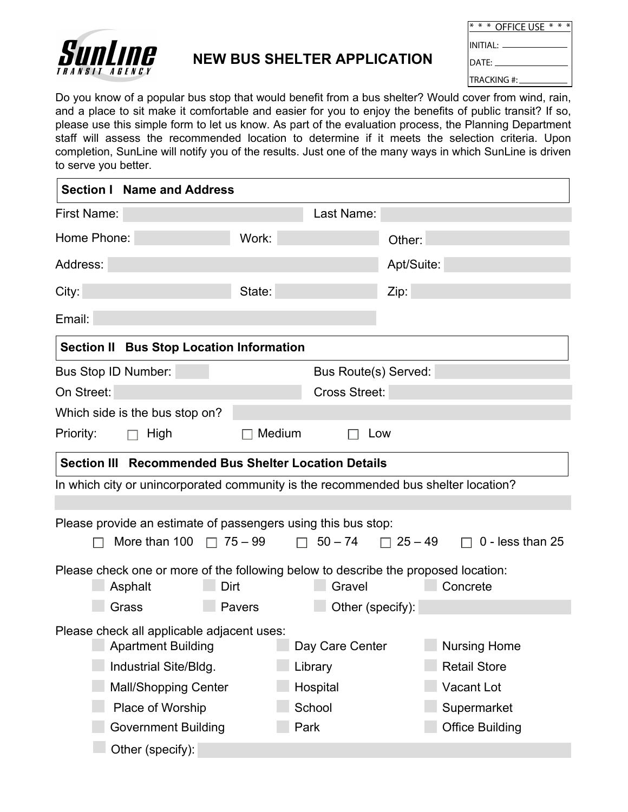

## **NEW BUS SHELTER APPLICATION**

| $*$ * OFFICF USF $*$ * *          |  |  |
|-----------------------------------|--|--|
| $\overline{\text{INITIAL:}}$ $\_$ |  |  |
| ldate:                            |  |  |
| <b>ITRACKING</b> #:               |  |  |

Do you know of a popular bus stop that would benefit from a bus shelter? Would cover from wind, rain, and a place to sit make it comfortable and easier for you to enjoy the benefits of public transit? If so, please use this simple form to let us know. As part of the evaluation process, the Planning Department staff will assess the recommended location to determine if it meets the selection criteria. Upon completion, SunLine will notify you of the results. Just one of the many ways in which SunLine is driven to serve you better.

| <b>Section I Name and Address</b>                                                  |        |                      |                       |                        |  |  |  |  |
|------------------------------------------------------------------------------------|--------|----------------------|-----------------------|------------------------|--|--|--|--|
| First Name:                                                                        |        | Last Name:           |                       |                        |  |  |  |  |
| Home Phone:                                                                        | Work:  |                      | Other:                |                        |  |  |  |  |
| Address:                                                                           |        |                      | Apt/Suite:            |                        |  |  |  |  |
| City:                                                                              | State: |                      | Zip:                  |                        |  |  |  |  |
| Email:                                                                             |        |                      |                       |                        |  |  |  |  |
| <b>Section II Bus Stop Location Information</b>                                    |        |                      |                       |                        |  |  |  |  |
| Bus Stop ID Number:                                                                |        | Bus Route(s) Served: |                       |                        |  |  |  |  |
| On Street:                                                                         |        | <b>Cross Street:</b> |                       |                        |  |  |  |  |
| Which side is the bus stop on?                                                     |        |                      |                       |                        |  |  |  |  |
| Priority:<br>High<br>П                                                             | Medium | Low                  |                       |                        |  |  |  |  |
| Section III Recommended Bus Shelter Location Details                               |        |                      |                       |                        |  |  |  |  |
| In which city or unincorporated community is the recommended bus shelter location? |        |                      |                       |                        |  |  |  |  |
|                                                                                    |        |                      |                       |                        |  |  |  |  |
| Please provide an estimate of passengers using this bus stop:                      |        |                      |                       |                        |  |  |  |  |
| More than $100 \square$ 75 - 99                                                    |        | $\Box$ 50 – 74       | $\Box$ 25 – 49 $\Box$ | 0 - less than 25       |  |  |  |  |
| Please check one or more of the following below to describe the proposed location: |        |                      |                       |                        |  |  |  |  |
| Dirt<br>Asphalt                                                                    |        | Gravel               |                       | Concrete               |  |  |  |  |
| Grass                                                                              | Pavers | Other (specify):     |                       |                        |  |  |  |  |
| Please check all applicable adjacent uses:                                         |        |                      |                       |                        |  |  |  |  |
| <b>Apartment Building</b>                                                          |        | Day Care Center      |                       | <b>Nursing Home</b>    |  |  |  |  |
| Industrial Site/Bldg.                                                              |        | Library              |                       | <b>Retail Store</b>    |  |  |  |  |
| <b>Mall/Shopping Center</b>                                                        |        | Hospital             |                       | <b>Vacant Lot</b>      |  |  |  |  |
| Place of Worship                                                                   |        | School               |                       | Supermarket            |  |  |  |  |
| <b>Government Building</b>                                                         | Park   |                      |                       | <b>Office Building</b> |  |  |  |  |
| Other (specify):                                                                   |        |                      |                       |                        |  |  |  |  |